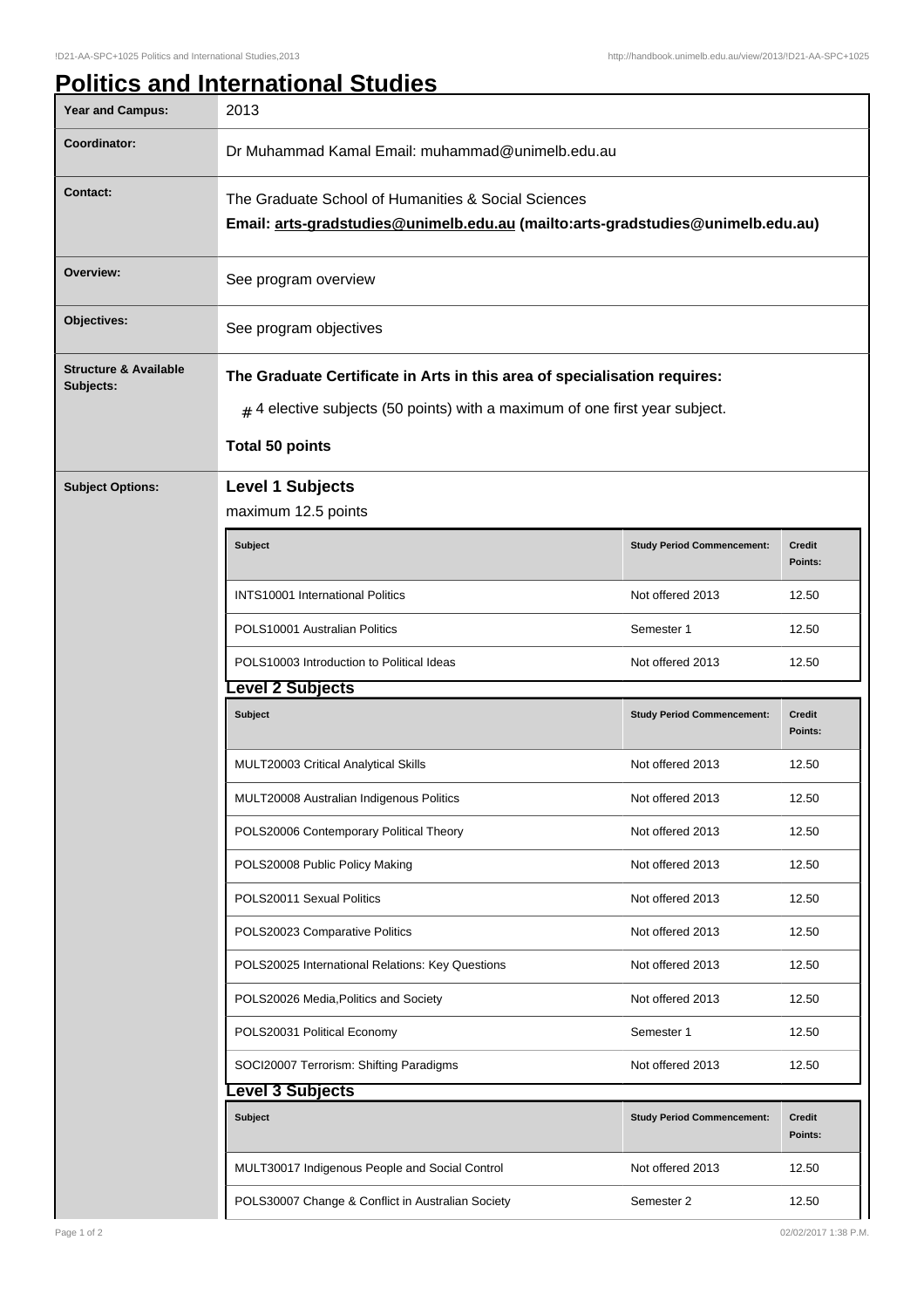## **Politics and International Studies**

| <b>Year and Campus:</b>                       | 2013                                                                                                                                                                 |                                   |                          |  |  |
|-----------------------------------------------|----------------------------------------------------------------------------------------------------------------------------------------------------------------------|-----------------------------------|--------------------------|--|--|
| Coordinator:                                  | Dr Muhammad Kamal Email: muhammad@unimelb.edu.au                                                                                                                     |                                   |                          |  |  |
| <b>Contact:</b>                               | The Graduate School of Humanities & Social Sciences<br>Email: arts-gradstudies@unimelb.edu.au (mailto:arts-gradstudies@unimelb.edu.au)                               |                                   |                          |  |  |
| Overview:                                     | See program overview                                                                                                                                                 |                                   |                          |  |  |
| Objectives:                                   | See program objectives                                                                                                                                               |                                   |                          |  |  |
| <b>Structure &amp; Available</b><br>Subjects: | The Graduate Certificate in Arts in this area of specialisation requires:<br>$_{\text{#}}$ 4 elective subjects (50 points) with a maximum of one first year subject. |                                   |                          |  |  |
|                                               |                                                                                                                                                                      |                                   |                          |  |  |
|                                               | <b>Total 50 points</b>                                                                                                                                               |                                   |                          |  |  |
| <b>Subject Options:</b>                       | <b>Level 1 Subjects</b><br>maximum 12.5 points                                                                                                                       |                                   |                          |  |  |
|                                               |                                                                                                                                                                      |                                   |                          |  |  |
|                                               | Subject                                                                                                                                                              | <b>Study Period Commencement:</b> | <b>Credit</b><br>Points: |  |  |
|                                               | <b>INTS10001 International Politics</b>                                                                                                                              | Not offered 2013                  | 12.50                    |  |  |
|                                               | POLS10001 Australian Politics                                                                                                                                        | Semester 1                        | 12.50                    |  |  |
|                                               | POLS10003 Introduction to Political Ideas                                                                                                                            | Not offered 2013                  | 12.50                    |  |  |
|                                               | evel 2 Subjects.                                                                                                                                                     |                                   |                          |  |  |
|                                               | Subject                                                                                                                                                              | <b>Study Period Commencement:</b> | <b>Credit</b><br>Points: |  |  |
|                                               | MULT20003 Critical Analytical Skills                                                                                                                                 | Not offered 2013                  | 12.50                    |  |  |
|                                               | MULT20008 Australian Indigenous Politics                                                                                                                             | Not offered 2013                  | 12.50                    |  |  |
|                                               | POLS20006 Contemporary Political Theory                                                                                                                              | Not offered 2013                  | 12.50                    |  |  |
|                                               | POLS20008 Public Policy Making                                                                                                                                       | Not offered 2013                  | 12.50                    |  |  |
|                                               | POLS20011 Sexual Politics                                                                                                                                            | Not offered 2013                  | 12.50                    |  |  |
|                                               | POLS20023 Comparative Politics                                                                                                                                       | Not offered 2013                  | 12.50                    |  |  |
|                                               | POLS20025 International Relations: Key Questions                                                                                                                     | Not offered 2013                  | 12.50                    |  |  |
|                                               | POLS20026 Media, Politics and Society                                                                                                                                | Not offered 2013                  | 12.50                    |  |  |
|                                               | POLS20031 Political Economy                                                                                                                                          | Semester 1                        | 12.50                    |  |  |
|                                               | SOCI20007 Terrorism: Shifting Paradigms                                                                                                                              | Not offered 2013                  | 12.50                    |  |  |
|                                               | evel 3 Subjects.                                                                                                                                                     |                                   |                          |  |  |
|                                               | Subject                                                                                                                                                              | <b>Study Period Commencement:</b> | <b>Credit</b><br>Points: |  |  |
|                                               | MULT30017 Indigenous People and Social Control                                                                                                                       | Not offered 2013                  | 12.50                    |  |  |
|                                               | POLS30007 Change & Conflict in Australian Society                                                                                                                    | Semester 2                        | 12.50                    |  |  |